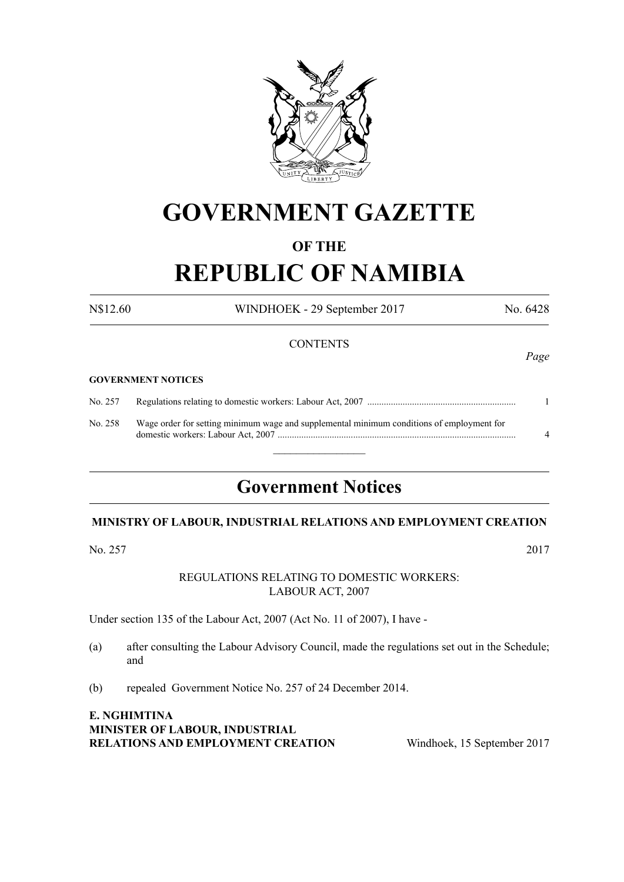

# **GOVERNMENT GAZETTE**

# **OF THE**

# **REPUBLIC OF NAMIBIA**

N\$12.60 WINDHOEK - 29 September 2017 No. 6428

# **CONTENTS**

#### **GOVERNMENT NOTICES**

No. 257 Regulations relating to domestic workers: Labour Act, 2007 ............................................................... 1 No. 258 Wage order for setting minimum wage and supplemental minimum conditions of employment for domestic workers: Labour Act, 2007 ..................................................................................................... 4

 $\frac{1}{2}$ 

# **Government Notices**

#### **MINISTRY OF LABOUR, Industrial Relations and Employment Creation**

No. 257 2017

REGULATIONS RELATING TO DOMESTIC WORKERS: LABOUR ACT, 2007

Under section 135 of the Labour Act, 2007 (Act No. 11 of 2007), I have -

- (a) after consulting the Labour Advisory Council, made the regulations set out in the Schedule; and
- (b) repealed Government Notice No. 257 of 24 December 2014.

**E. Nghimtina Minister of Labour, Industrial Relations and Employment Creation** Windhoek, 15 September 2017

*Page*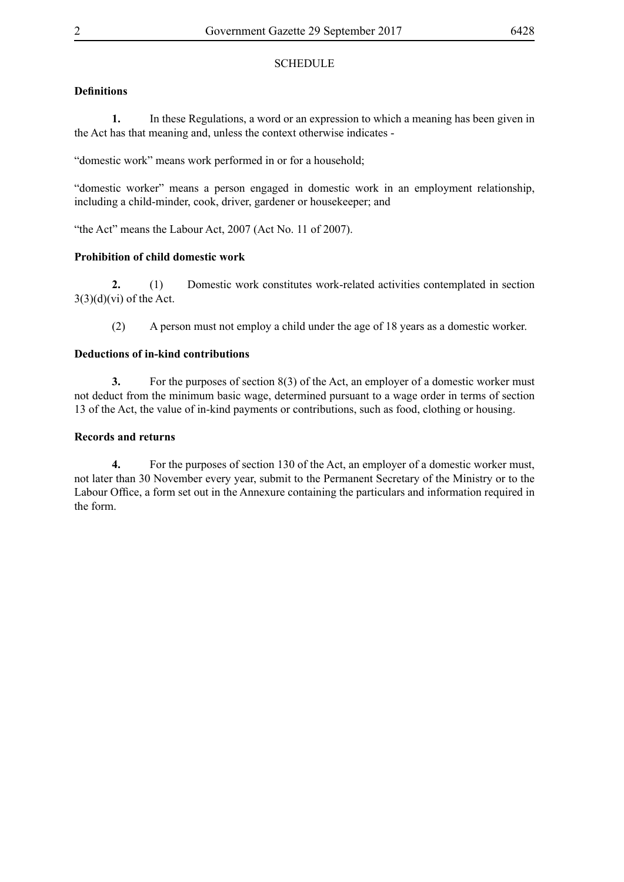# **SCHEDULE**

# **Definitions**

**1.** In these Regulations, a word or an expression to which a meaning has been given in the Act has that meaning and, unless the context otherwise indicates -

"domestic work" means work performed in or for a household;

"domestic worker" means a person engaged in domestic work in an employment relationship, including a child-minder, cook, driver, gardener or housekeeper; and

"the Act" means the Labour Act, 2007 (Act No. 11 of 2007).

# **Prohibition of child domestic work**

**2.** (1) Domestic work constitutes work-related activities contemplated in section  $3(3)(d)(vi)$  of the Act.

(2) A person must not employ a child under the age of 18 years as a domestic worker.

# **Deductions of in-kind contributions**

**3.** For the purposes of section 8(3) of the Act, an employer of a domestic worker must not deduct from the minimum basic wage, determined pursuant to a wage order in terms of section 13 of the Act, the value of in-kind payments or contributions, such as food, clothing or housing.

#### **Records and returns**

**4.** For the purposes of section 130 of the Act, an employer of a domestic worker must, not later than 30 November every year, submit to the Permanent Secretary of the Ministry or to the Labour Office, a form set out in the Annexure containing the particulars and information required in the form.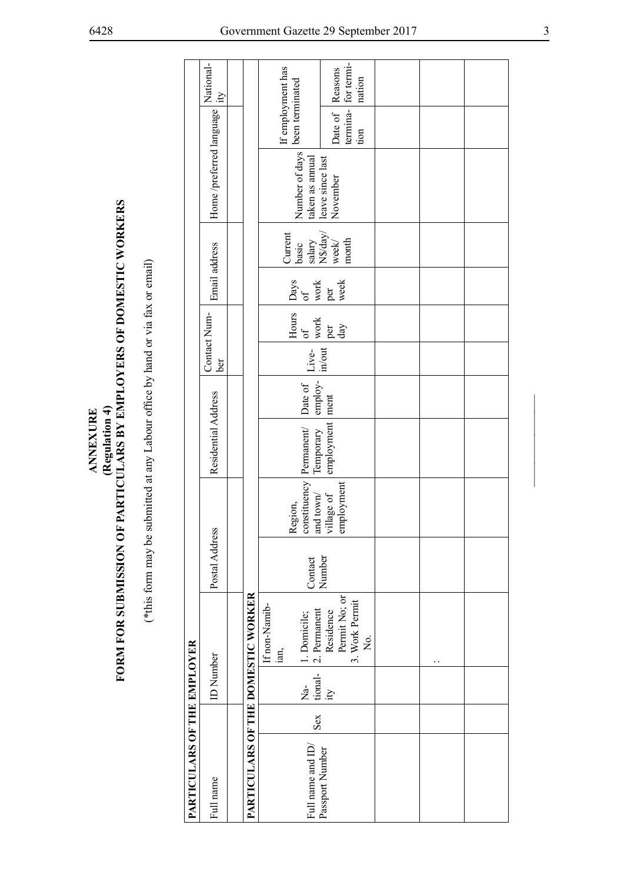| <b>ANNEXURE</b> | (Regulation 4) | FORM FOR SUBMISSION OF PARTICULARS BY EMPLOYERS OF DOMESTIC WORKERS |  |
|-----------------|----------------|---------------------------------------------------------------------|--|
|                 |                |                                                                     |  |

|   | Teme is the label of the office by comparing the teme to the fame.<br>-<br>-<br>- |
|---|-----------------------------------------------------------------------------------|
|   |                                                                                   |
|   | u vin in in s                                                                     |
|   |                                                                                   |
|   |                                                                                   |
|   |                                                                                   |
|   |                                                                                   |
|   |                                                                                   |
|   |                                                                                   |
|   |                                                                                   |
|   |                                                                                   |
| í |                                                                                   |
|   |                                                                                   |
|   |                                                                                   |
|   |                                                                                   |
|   |                                                                                   |
|   | No. 200 Miles                                                                     |
|   |                                                                                   |
|   |                                                                                   |
|   |                                                                                   |
|   |                                                                                   |
|   |                                                                                   |
|   |                                                                                   |
|   |                                                                                   |
|   |                                                                                   |
|   |                                                                                   |
|   |                                                                                   |
|   |                                                                                   |
|   |                                                                                   |
|   | $\ldots$ and the distribution.<br>i                                               |
|   |                                                                                   |
|   | I                                                                                 |
|   |                                                                                   |
|   | י כווו                                                                            |
|   |                                                                                   |
|   |                                                                                   |
|   |                                                                                   |

| PARTICULARS OF THE EMPLOYER        |     |                  |                                                                    |                |                                                 |                     |                    |                     |                                    |                    |                                        |                                   |                                      |                               |
|------------------------------------|-----|------------------|--------------------------------------------------------------------|----------------|-------------------------------------------------|---------------------|--------------------|---------------------|------------------------------------|--------------------|----------------------------------------|-----------------------------------|--------------------------------------|-------------------------------|
| Full name                          |     | <b>D</b> Number  |                                                                    | Postal Address |                                                 | Residential Address |                    | Contact Num-<br>ber |                                    | Email address      |                                        | Home /preferred language          |                                      | National-<br>ity              |
|                                    |     |                  |                                                                    |                |                                                 |                     |                    |                     |                                    |                    |                                        |                                   |                                      |                               |
| PARTICULARS OF THE DOMESTIC WORKER |     |                  |                                                                    |                |                                                 |                     |                    |                     |                                    |                    |                                        |                                   |                                      |                               |
| Full name and ID/                  | Sex | $Na-$<br>tional- | If non-Namib-<br>. Domicile;<br>ian,                               | Contact        | constituency Permanent/<br>and town/<br>Region, | Temporary           | employ-<br>Date of | Live-               | Hours<br>$_{\rm work}$<br>$\sigma$ | Days<br>work<br>of | salary<br>N\$/day/<br>Current<br>basic | Number of days<br>taken as annual | If employment has<br>been terminated |                               |
| Passport Number                    |     | ity              | Permit No; or<br>3. Work Permit<br>2. Permanent<br>Residence<br>Σ. | Number         | employment<br>village of                        | employment   ment   |                    | in/out              | day<br>per                         | week<br>per        | month<br>week/                         | leave since last<br>November      | Date of Reasons<br>tion              | termina- for termi-<br>nation |
|                                    |     |                  |                                                                    |                |                                                 |                     |                    |                     |                                    |                    |                                        |                                   |                                      |                               |
|                                    |     |                  |                                                                    |                |                                                 |                     |                    |                     |                                    |                    |                                        |                                   |                                      |                               |
|                                    |     |                  |                                                                    |                |                                                 |                     |                    |                     |                                    |                    |                                        |                                   |                                      |                               |
|                                    |     |                  |                                                                    |                |                                                 |                     |                    |                     |                                    |                    |                                        |                                   |                                      |                               |

\_\_\_\_\_\_\_\_\_\_\_\_\_\_\_\_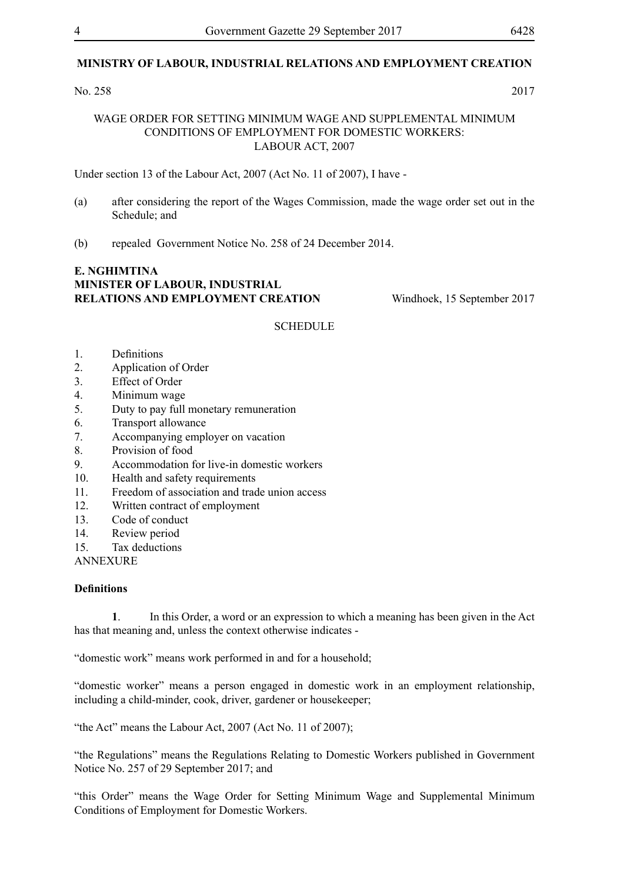#### **MINISTRY OF LABOUR, Industrial Relations and Employment Creation**

#### No. 258 2017

WAGE ORDER FOR SETTING MINIMUM WAGE AND SUPPLEMENTAL MINIMUM CONDITIONS OF EMPLOYMENT FOR DOMESTIC WORKERS: LABOUR ACT, 2007

Under section 13 of the Labour Act, 2007 (Act No. 11 of 2007), I have -

- (a) after considering the report of the Wages Commission, made the wage order set out in the Schedule; and
- (b) repealed Government Notice No. 258 of 24 December 2014.

# **E. Nghimtina Minister of Labour, Industrial Relations and Employment Creation** Windhoek, 15 September 2017

#### **SCHEDULE**

- 1. Definitions
- 2. Application of Order
- 3. Effect of Order
- 4. Minimum wage
- 5. Duty to pay full monetary remuneration
- 6. Transport allowance
- 7. Accompanying employer on vacation
- 8. Provision of food
- 9. Accommodation for live-in domestic workers
- 10. Health and safety requirements
- 11. Freedom of association and trade union access
- 12. Written contract of employment
- 13. Code of conduct
- 14. Review period
- 15. Tax deductions
- ANNEXURE

#### **Definitions**

**1**. In this Order, a word or an expression to which a meaning has been given in the Act has that meaning and, unless the context otherwise indicates -

"domestic work" means work performed in and for a household;

"domestic worker" means a person engaged in domestic work in an employment relationship, including a child-minder, cook, driver, gardener or housekeeper;

"the Act" means the Labour Act, 2007 (Act No. 11 of 2007);

"the Regulations" means the Regulations Relating to Domestic Workers published in Government Notice No. 257 of 29 September 2017; and

"this Order" means the Wage Order for Setting Minimum Wage and Supplemental Minimum Conditions of Employment for Domestic Workers.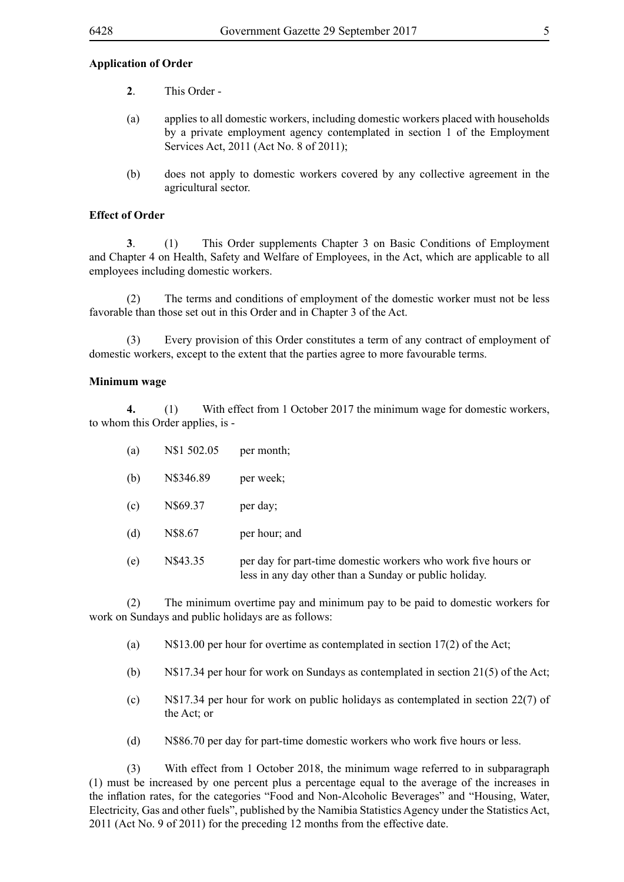#### **Application of Order**

- **2**. This Order -
- (a) applies to all domestic workers, including domestic workers placed with households by a private employment agency contemplated in section 1 of the Employment Services Act, 2011 (Act No. 8 of 2011);
- (b) does not apply to domestic workers covered by any collective agreement in the agricultural sector.

#### **Effect of Order**

**3**. (1) This Order supplements Chapter 3 on Basic Conditions of Employment and Chapter 4 on Health, Safety and Welfare of Employees, in the Act, which are applicable to all employees including domestic workers.

(2) The terms and conditions of employment of the domestic worker must not be less favorable than those set out in this Order and in Chapter 3 of the Act.

(3) Every provision of this Order constitutes a term of any contract of employment of domestic workers, except to the extent that the parties agree to more favourable terms.

#### **Minimum wage**

**4.** (1) With effect from 1 October 2017 the minimum wage for domestic workers, to whom this Order applies, is -

- (a) N\$1 502.05 per month;
- (b) N\$346.89 per week;
- (c)  $N$69.37$  per day;
- (d) N\$8.67 per hour; and
- (e) N\$43.35 per day for part-time domestic workers who work five hours or less in any day other than a Sunday or public holiday.

(2) The minimum overtime pay and minimum pay to be paid to domestic workers for work on Sundays and public holidays are as follows:

- (a) N\$13.00 per hour for overtime as contemplated in section 17(2) of the Act;
- (b) N\$17.34 per hour for work on Sundays as contemplated in section 21(5) of the Act;
- (c) N\$17.34 per hour for work on public holidays as contemplated in section 22(7) of the Act; or
- (d) N\$86.70 per day for part-time domestic workers who work five hours or less.

(3) With effect from 1 October 2018, the minimum wage referred to in subparagraph (1) must be increased by one percent plus a percentage equal to the average of the increases in the inflation rates, for the categories "Food and Non-Alcoholic Beverages" and "Housing, Water, Electricity, Gas and other fuels", published by the Namibia Statistics Agency under the Statistics Act, 2011 (Act No. 9 of 2011) for the preceding 12 months from the effective date.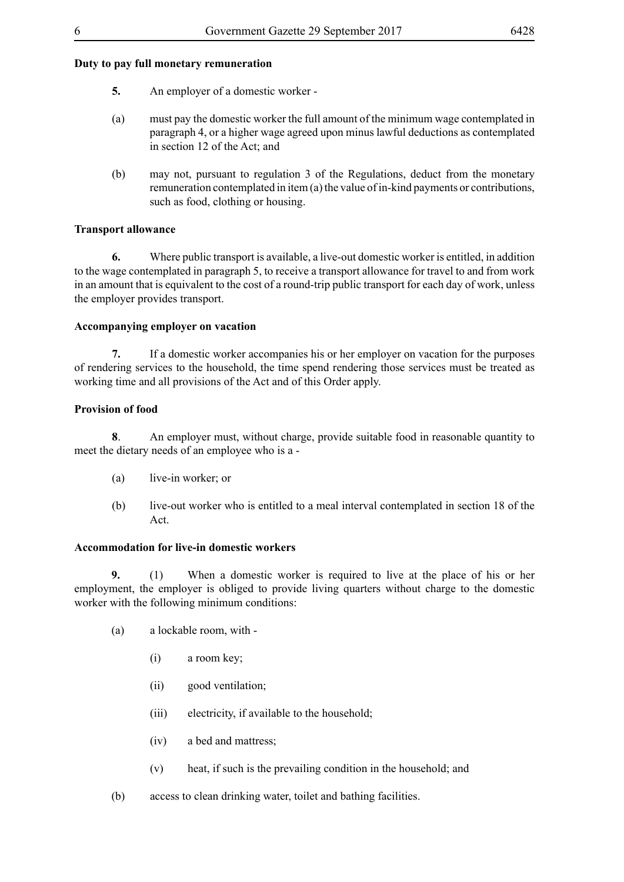# **Duty to pay full monetary remuneration**

- **5.** An employer of a domestic worker -
- (a) must pay the domestic worker the full amount of the minimum wage contemplated in paragraph 4, or a higher wage agreed upon minus lawful deductions as contemplated in section 12 of the Act; and
- (b) may not, pursuant to regulation 3 of the Regulations, deduct from the monetary remuneration contemplated in item (a) the value of in-kind payments or contributions, such as food, clothing or housing.

#### **Transport allowance**

**6.** Where public transport is available, a live-out domestic worker is entitled, in addition to the wage contemplated in paragraph 5, to receive a transport allowance for travel to and from work in an amount that is equivalent to the cost of a round-trip public transport for each day of work, unless the employer provides transport.

#### **Accompanying employer on vacation**

**7.** If a domestic worker accompanies his or her employer on vacation for the purposes of rendering services to the household, the time spend rendering those services must be treated as working time and all provisions of the Act and of this Order apply.

#### **Provision of food**

**8**. An employer must, without charge, provide suitable food in reasonable quantity to meet the dietary needs of an employee who is a -

- (a) live-in worker; or
- (b) live-out worker who is entitled to a meal interval contemplated in section 18 of the Act.

#### **Accommodation for live-in domestic workers**

**9.** (1) When a domestic worker is required to live at the place of his or her employment, the employer is obliged to provide living quarters without charge to the domestic worker with the following minimum conditions:

- (a) a lockable room, with
	- (i) a room key;
	- (ii) good ventilation;
	- (iii) electricity, if available to the household;
	- (iv) a bed and mattress;
	- (v) heat, if such is the prevailing condition in the household; and
- (b) access to clean drinking water, toilet and bathing facilities.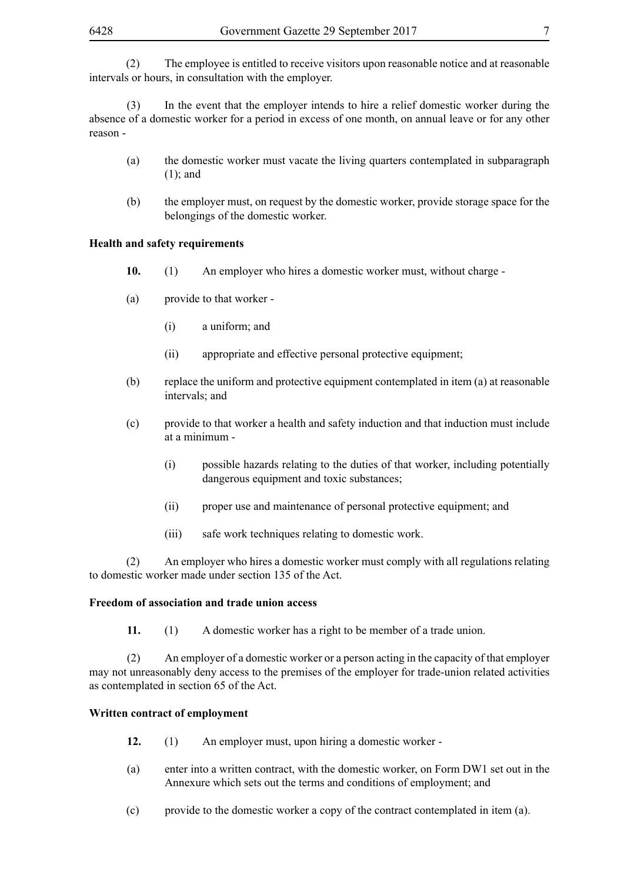(2) The employee is entitled to receive visitors upon reasonable notice and at reasonable intervals or hours, in consultation with the employer.

(3) In the event that the employer intends to hire a relief domestic worker during the absence of a domestic worker for a period in excess of one month, on annual leave or for any other reason -

- (a) the domestic worker must vacate the living quarters contemplated in subparagraph (1); and
- (b) the employer must, on request by the domestic worker, provide storage space for the belongings of the domestic worker.

#### **Health and safety requirements**

- **10.** (1) An employer who hires a domestic worker must, without charge -
- (a) provide to that worker
	- (i) a uniform; and
	- (ii) appropriate and effective personal protective equipment;
- (b) replace the uniform and protective equipment contemplated in item (a) at reasonable intervals; and
- (c) provide to that worker a health and safety induction and that induction must include at a minimum -
	- (i) possible hazards relating to the duties of that worker, including potentially dangerous equipment and toxic substances;
	- (ii) proper use and maintenance of personal protective equipment; and
	- (iii) safe work techniques relating to domestic work.

(2) An employer who hires a domestic worker must comply with all regulations relating to domestic worker made under section 135 of the Act.

#### **Freedom of association and trade union access**

**11.** (1) A domestic worker has a right to be member of a trade union.

(2) An employer of a domestic worker or a person acting in the capacity of that employer may not unreasonably deny access to the premises of the employer for trade-union related activities as contemplated in section 65 of the Act.

#### **Written contract of employment**

- **12.** (1) An employer must, upon hiring a domestic worker -
- (a) enter into a written contract, with the domestic worker, on Form DW1 set out in the Annexure which sets out the terms and conditions of employment; and
- (c) provide to the domestic worker a copy of the contract contemplated in item (a).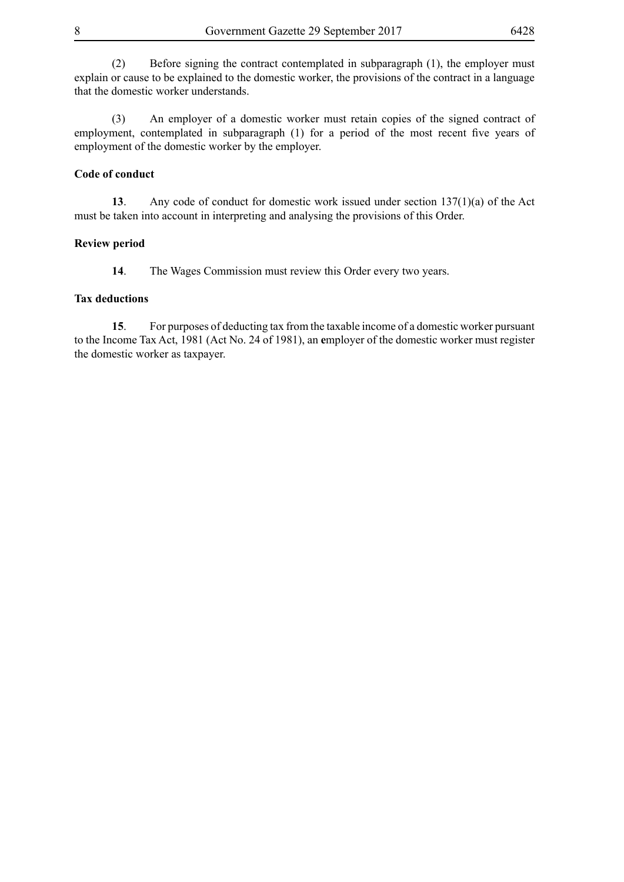(2) Before signing the contract contemplated in subparagraph (1), the employer must explain or cause to be explained to the domestic worker, the provisions of the contract in a language that the domestic worker understands.

(3) An employer of a domestic worker must retain copies of the signed contract of employment, contemplated in subparagraph (1) for a period of the most recent five years of employment of the domestic worker by the employer.

#### **Code of conduct**

**13**. Any code of conduct for domestic work issued under section 137(1)(a) of the Act must be taken into account in interpreting and analysing the provisions of this Order.

#### **Review period**

**14**. The Wages Commission must review this Order every two years.

#### **Tax deductions**

**15**. For purposes of deducting tax from the taxable income of a domestic worker pursuant to the Income Tax Act, 1981 (Act No. 24 of 1981), an **e**mployer of the domestic worker must register the domestic worker as taxpayer.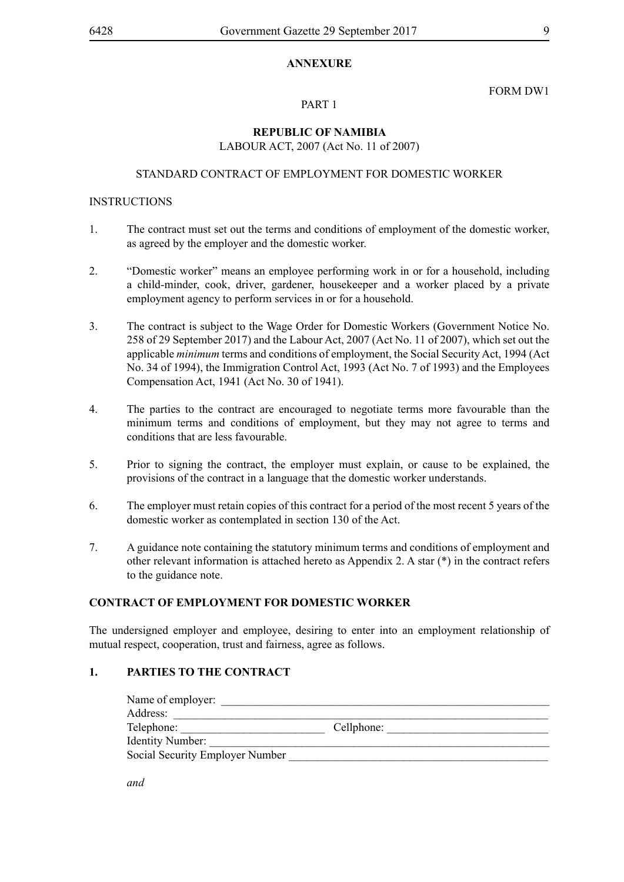# **ANNEXURE**

# PART 1

# FORM DW1

#### **REPUBLIC OF NAMIBIA** LABOUR ACT, 2007 (Act No. 11 of 2007)

# STANDARD CONTRACT OF EMPLOYMENT FOR DOMESTIC WORKER

#### **INSTRUCTIONS**

- 1. The contract must set out the terms and conditions of employment of the domestic worker, as agreed by the employer and the domestic worker.
- 2. "Domestic worker" means an employee performing work in or for a household, including a child-minder, cook, driver, gardener, housekeeper and a worker placed by a private employment agency to perform services in or for a household.
- 3. The contract is subject to the Wage Order for Domestic Workers (Government Notice No. 258 of 29 September 2017) and the Labour Act, 2007 (Act No. 11 of 2007), which set out the applicable *minimum* terms and conditions of employment, the Social Security Act, 1994 (Act No. 34 of 1994), the Immigration Control Act, 1993 (Act No. 7 of 1993) and the Employees Compensation Act, 1941 (Act No. 30 of 1941).
- 4. The parties to the contract are encouraged to negotiate terms more favourable than the minimum terms and conditions of employment, but they may not agree to terms and conditions that are less favourable.
- 5. Prior to signing the contract, the employer must explain, or cause to be explained, the provisions of the contract in a language that the domestic worker understands.
- 6. The employer must retain copies of this contract for a period of the most recent 5 years of the domestic worker as contemplated in section 130 of the Act.
- 7. A guidance note containing the statutory minimum terms and conditions of employment and other relevant information is attached hereto as Appendix 2. A star (\*) in the contract refers to the guidance note.

# **CONTRACT OF EMPLOYMENT FOR DOMESTIC WORKER**

The undersigned employer and employee, desiring to enter into an employment relationship of mutual respect, cooperation, trust and fairness, agree as follows.

# **1. PARTIES TO THE CONTRACT**

| Name of employer:               |            |
|---------------------------------|------------|
| Address:                        |            |
| Telephone:                      | Cellphone: |
| Identity Number:                |            |
| Social Security Employer Number |            |
|                                 |            |

*and*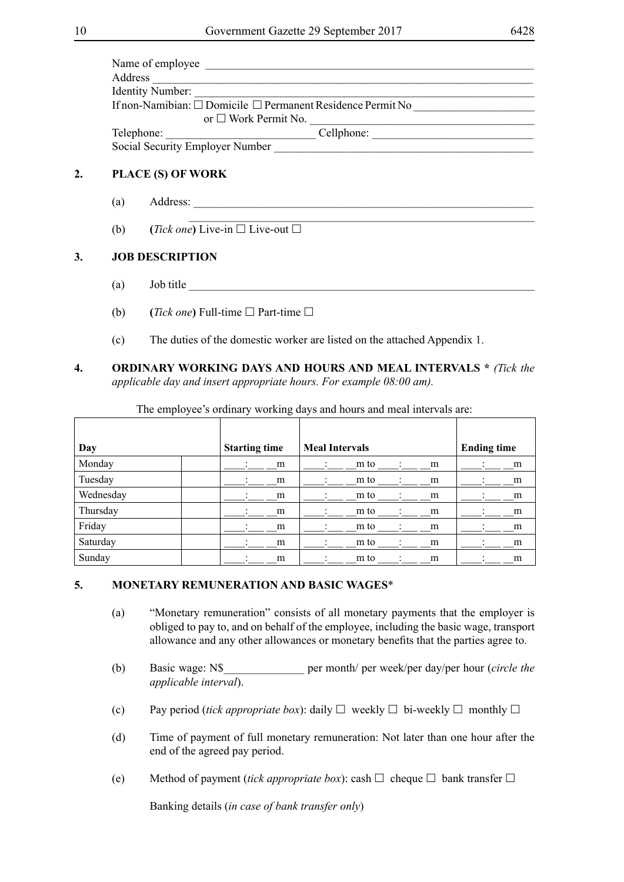| Name of employee                |                                                             |  |
|---------------------------------|-------------------------------------------------------------|--|
| Address                         |                                                             |  |
| Identity Number:                |                                                             |  |
|                                 | If non-Namibian: □ Domicile □ Permanent Residence Permit No |  |
| or $\square$ Work Permit No.    |                                                             |  |
| Telephone:                      | Cellphone:                                                  |  |
| Social Security Employer Number |                                                             |  |
|                                 |                                                             |  |
| <b>PLACE (S) OF WORK</b>        |                                                             |  |
|                                 |                                                             |  |

 $\mathcal{L}_\text{max}$  , and the contract of the contract of the contract of the contract of the contract of the contract of the contract of the contract of the contract of the contract of the contract of the contract of the contr

- $(a)$  Address:
- (b)  $(Tick \ one) \text{Live-in } \Box \text{Live-out } \Box$

#### **3. JOB DESCRIPTION**

- (a) Job title  $\overline{\phantom{a}}$
- (b)  $(Tick one)$  Full-time  $\Box$  Part-time  $\Box$
- (c) The duties of the domestic worker are listed on the attached Appendix 1.
- **4. ORDINARY WORKING DAYS AND HOURS AND MEAL INTERVALS \*** *(Tick the applicable day and insert appropriate hours. For example 08:00 am).*

| Day       | <b>Starting time</b> |   | <b>Meal Intervals</b> |      |   | <b>Ending time</b> |   |
|-----------|----------------------|---|-----------------------|------|---|--------------------|---|
| Monday    |                      | m |                       | m to | m |                    | m |
| Tuesday   |                      | m |                       | m to | m |                    | m |
| Wednesday |                      | m |                       | m to | m |                    | m |
| Thursday  |                      | m |                       | m to | m |                    | m |
| Friday    |                      | m |                       | m to | m |                    | m |
| Saturday  |                      | m |                       | m to | m |                    | m |
| Sunday    |                      | m |                       | m to | m |                    | m |

The employee's ordinary working days and hours and meal intervals are:

#### **5. MONETARY REMUNERATION AND BASIC WAGES**\*

- (a) "Monetary remuneration" consists of all monetary payments that the employer is obliged to pay to, and on behalf of the employee, including the basic wage, transport allowance and any other allowances or monetary benefits that the parties agree to.
- (b) Basic wage: N\$\_\_\_\_\_\_\_\_\_\_\_\_\_\_ per month/ per week/per day/per hour (*circle the applicable interval*).
- (c) Pay period *(tick appropriate box)*: daily  $\Box$  weekly  $\Box$  bi-weekly  $\Box$  monthly  $\Box$
- (d) Time of payment of full monetary remuneration: Not later than one hour after the end of the agreed pay period.
- (e) Method of payment *(tick appropriate box)*: cash  $\Box$  cheque  $\Box$  bank transfer  $\Box$

Banking details (*in case of bank transfer only*)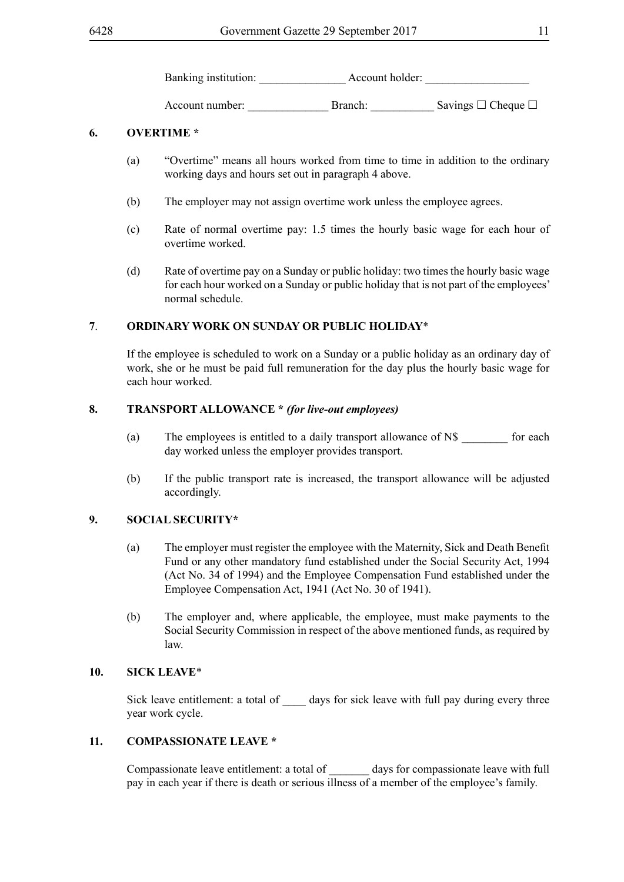Banking institution: <br>  $\Delta$  Account holder:

Account number:  $\Box$  Branch:  $\Box$  Savings  $\Box$  Cheque  $\Box$ 

# **6. OVERTIME \***

- (a) "Overtime" means all hours worked from time to time in addition to the ordinary working days and hours set out in paragraph 4 above.
- (b) The employer may not assign overtime work unless the employee agrees.
- (c) Rate of normal overtime pay: 1.5 times the hourly basic wage for each hour of overtime worked.
- (d) Rate of overtime pay on a Sunday or public holiday: two times the hourly basic wage for each hour worked on a Sunday or public holiday that is not part of the employees' normal schedule.

#### **7**. **ORDINARY WORK ON SUNDAY OR PUBLIC HOLIDAY**\*

If the employee is scheduled to work on a Sunday or a public holiday as an ordinary day of work, she or he must be paid full remuneration for the day plus the hourly basic wage for each hour worked.

#### **8. TRANSPORT ALLOWANCE \*** *(for live-out employees)*

- (a) The employees is entitled to a daily transport allowance of N\$ for each day worked unless the employer provides transport.
- (b) If the public transport rate is increased, the transport allowance will be adjusted accordingly.

# **9. SOCIAL SECURITY\***

- (a) The employer must register the employee with the Maternity, Sick and Death Benefit Fund or any other mandatory fund established under the Social Security Act, 1994 (Act No. 34 of 1994) and the Employee Compensation Fund established under the Employee Compensation Act, 1941 (Act No. 30 of 1941).
- (b) The employer and, where applicable, the employee, must make payments to the Social Security Commission in respect of the above mentioned funds, as required by law.

# **10. SICK LEAVE**\*

Sick leave entitlement: a total of \_\_\_\_\_ days for sick leave with full pay during every three year work cycle.

#### **11. COMPASSIONATE LEAVE \***

Compassionate leave entitlement: a total of \_\_\_\_\_\_\_ days for compassionate leave with full pay in each year if there is death or serious illness of a member of the employee's family.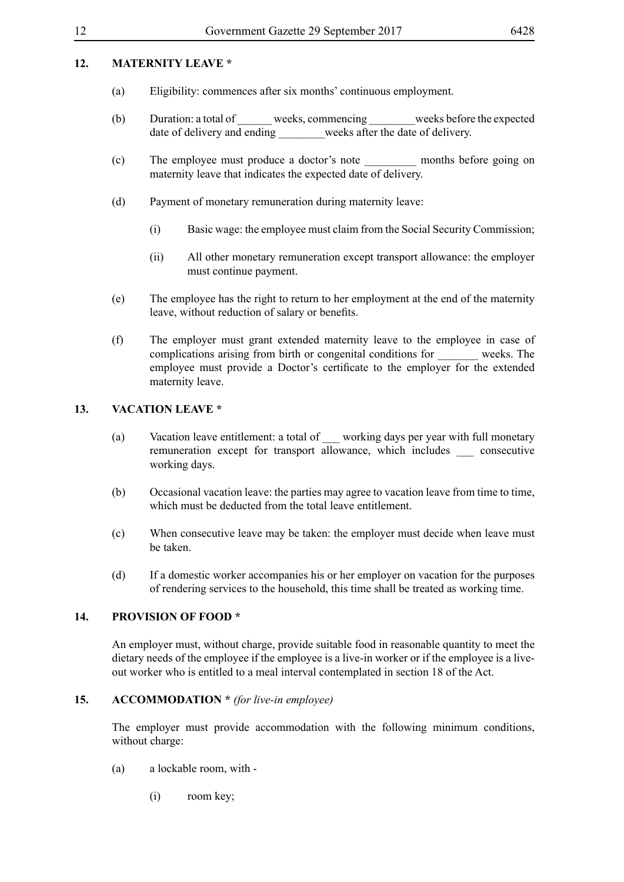# **12. MATERNITY LEAVE \***

- (a) Eligibility: commences after six months' continuous employment.
- (b) Duration: a total of weeks, commencing weeks before the expected date of delivery and ending weeks after the date of delivery.
- (c) The employee must produce a doctor's note \_\_\_\_\_\_\_\_\_ months before going on maternity leave that indicates the expected date of delivery.
- (d) Payment of monetary remuneration during maternity leave:
	- (i) Basic wage: the employee must claim from the Social Security Commission;
	- (ii) All other monetary remuneration except transport allowance: the employer must continue payment.
- (e) The employee has the right to return to her employment at the end of the maternity leave, without reduction of salary or benefits.
- (f) The employer must grant extended maternity leave to the employee in case of complications arising from birth or congenital conditions for weeks. The employee must provide a Doctor's certificate to the employer for the extended maternity leave.

# **13. VACATION LEAVE \***

- (a) Vacation leave entitlement: a total of working days per year with full monetary remuneration except for transport allowance, which includes consecutive working days.
- (b) Occasional vacation leave: the parties may agree to vacation leave from time to time, which must be deducted from the total leave entitlement.
- (c) When consecutive leave may be taken: the employer must decide when leave must be taken.
- (d) If a domestic worker accompanies his or her employer on vacation for the purposes of rendering services to the household, this time shall be treated as working time.

# **14. PROVISION OF FOOD \***

An employer must, without charge, provide suitable food in reasonable quantity to meet the dietary needs of the employee if the employee is a live-in worker or if the employee is a liveout worker who is entitled to a meal interval contemplated in section 18 of the Act.

# **15. ACCOMMODATION \*** *(for live-in employee)*

The employer must provide accommodation with the following minimum conditions, without charge:

- (a) a lockable room, with
	- (i) room key;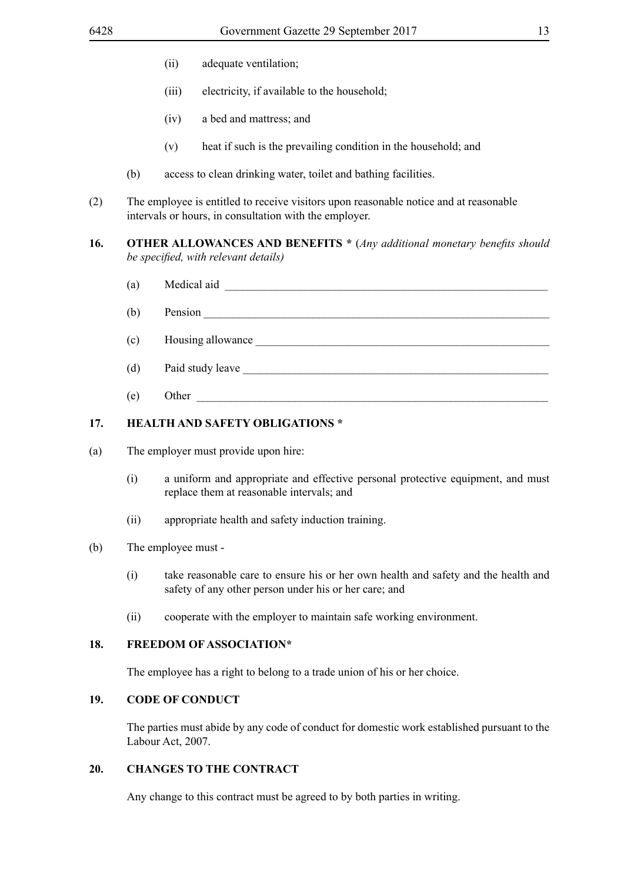- (ii) adequate ventilation;
- (iii) electricity, if available to the household;
- (iv) a bed and mattress; and
- (v) heat if such is the prevailing condition in the household; and
- (b) access to clean drinking water, toilet and bathing facilities.
- (2) The employee is entitled to receive visitors upon reasonable notice and at reasonable intervals or hours, in consultation with the employer.
- **16. OTHER ALLOWANCES AND BENEFITS \*** (*Any additional monetary benefits should be specified, with relevant details)*
	- (a) Medical aid  $\qquad \qquad$  $(b)$  Pension (c) Housing allowance \_\_\_\_\_\_\_\_\_\_\_\_\_\_\_\_\_\_\_\_\_\_\_\_\_\_\_\_\_\_\_\_\_\_\_\_\_\_\_\_\_\_\_\_\_\_\_\_\_\_\_ (d) Paid study leave \_\_\_\_\_\_\_\_\_\_\_\_\_\_\_\_\_\_\_\_\_\_\_\_\_\_\_\_\_\_\_\_\_\_\_\_\_\_\_\_\_\_\_\_\_\_\_\_\_\_\_\_\_  $(e)$  Other

#### **17. HEALTH AND SAFETY OBLIGATIONS \***

- (a) The employer must provide upon hire:
	- (i) a uniform and appropriate and effective personal protective equipment, and must replace them at reasonable intervals; and
	- (ii) appropriate health and safety induction training.

#### (b) The employee must -

- (i) take reasonable care to ensure his or her own health and safety and the health and safety of any other person under his or her care; and
- (ii) cooperate with the employer to maintain safe working environment.

#### **18. FREEDOM OF ASSOCIATION\***

The employee has a right to belong to a trade union of his or her choice.

#### **19. CODE OF CONDUCT**

The parties must abide by any code of conduct for domestic work established pursuant to the Labour Act, 2007.

#### **20. CHANGES TO THE CONTRACT**

Any change to this contract must be agreed to by both parties in writing.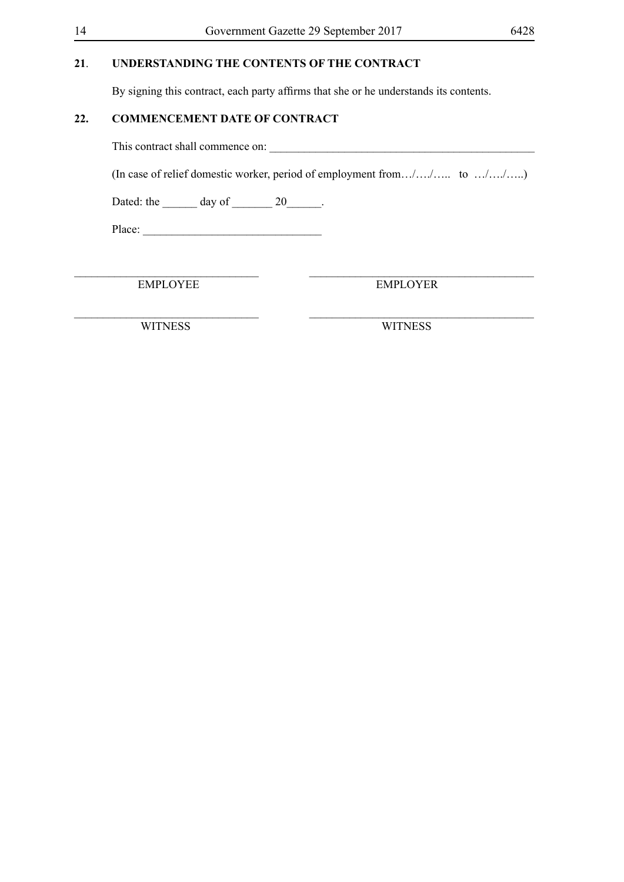# **21**. **UNDERSTANDING THE CONTENTS OF THE CONTRACT**

By signing this contract, each party affirms that she or he understands its contents.

#### **22. COMMENCEMENT DATE OF CONTRACT**

This contract shall commence on: \_\_\_\_\_\_\_\_\_\_\_\_\_\_\_\_\_\_\_\_\_\_\_\_\_\_\_\_\_\_\_\_\_\_\_\_\_\_\_\_\_\_\_\_\_\_

(In case of relief domestic worker, period of employment from…/…./….. to …/…./…..)

\_\_\_\_\_\_\_\_\_\_\_\_\_\_\_\_\_\_\_\_\_\_\_\_\_\_\_\_\_\_\_\_ \_\_\_\_\_\_\_\_\_\_\_\_\_\_\_\_\_\_\_\_\_\_\_\_\_\_\_\_\_\_\_\_\_\_\_\_\_\_\_

Dated: the  $\_\_\_\_\$  day of  $\_\_\_\_\$  20 $\_\_\_\_\$ .

Place:

EMPLOYEE EMPLOYER

\_\_\_\_\_\_\_\_\_\_\_\_\_\_\_\_\_\_\_\_\_\_\_\_\_\_\_\_\_\_\_\_ \_\_\_\_\_\_\_\_\_\_\_\_\_\_\_\_\_\_\_\_\_\_\_\_\_\_\_\_\_\_\_\_\_\_\_\_\_\_\_ WITNESS WITNESS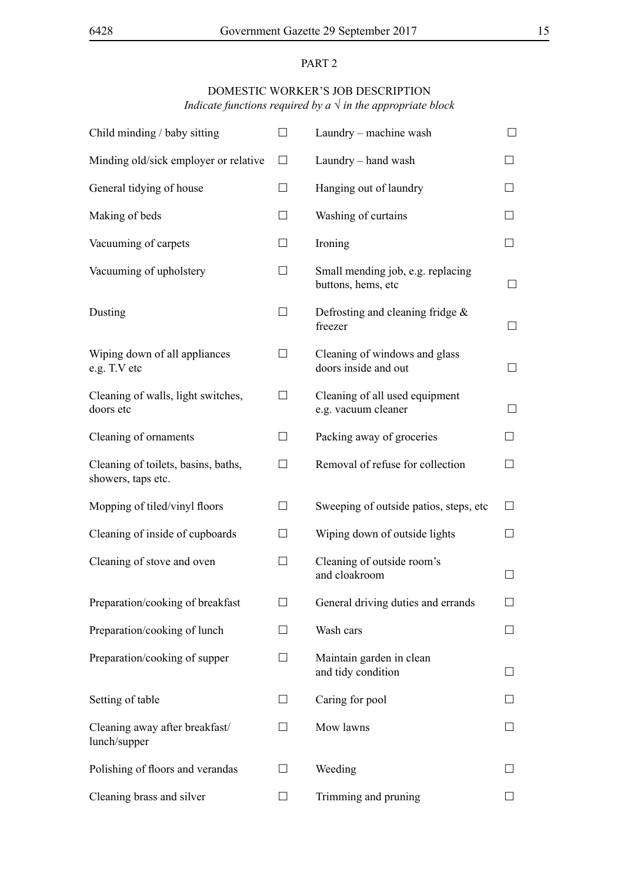# PART 2

#### DOMESTIC WORKER'S JOB DESCRIPTION *Indicate functions required by a √ in the appropriate block*

| Child minding / baby sitting                              |                   | Laundry – machine wash                                  |                          |
|-----------------------------------------------------------|-------------------|---------------------------------------------------------|--------------------------|
| Minding old/sick employer or relative                     | Ш                 | Laundry – hand wash                                     |                          |
| General tidying of house                                  | $\Box$            | Hanging out of laundry                                  | П                        |
| Making of beds                                            | $\Box$            | Washing of curtains                                     | $\Box$                   |
| Vacuuming of carpets                                      | $\Box$            | Ironing                                                 | $\Box$                   |
| Vacuuming of upholstery                                   | $\perp$           | Small mending job, e.g. replacing<br>buttons, hems, etc | ப                        |
| Dusting                                                   | $\Box$            | Defrosting and cleaning fridge $\&$<br>freezer          | $\Box$                   |
| Wiping down of all appliances<br>e.g. T.V etc             | $\Box$            | Cleaning of windows and glass<br>doors inside and out   | П                        |
| Cleaning of walls, light switches,<br>doors etc           | $\Box$            | Cleaning of all used equipment<br>e.g. vacuum cleaner   |                          |
| Cleaning of ornaments                                     | $\Box$            | Packing away of groceries                               | $\overline{\phantom{a}}$ |
| Cleaning of toilets, basins, baths,<br>showers, taps etc. | $\Box$            | Removal of refuse for collection                        | П                        |
| Mopping of tiled/vinyl floors                             | П                 | Sweeping of outside patios, steps, etc                  | П                        |
| Cleaning of inside of cupboards                           | $\Box$            | Wiping down of outside lights                           | $\Box$                   |
| Cleaning of stove and oven                                | $\Box$            | Cleaning of outside room's<br>and cloakroom             | П                        |
| Preparation/cooking of breakfast                          | $\Box$            | General driving duties and errands                      | $\Box$                   |
| Preparation/cooking of lunch                              | $\perp$           | Wash cars                                               |                          |
| Preparation/cooking of supper                             | $\Box$            | Maintain garden in clean<br>and tidy condition          | ΙI                       |
| Setting of table                                          | $\Box$            | Caring for pool                                         |                          |
| Cleaning away after breakfast/<br>lunch/supper            | П                 | Mow lawns                                               |                          |
| Polishing of floors and verandas                          | $\vert \ \ \vert$ | Weeding                                                 |                          |
| Cleaning brass and silver                                 | П                 | Trimming and pruning                                    |                          |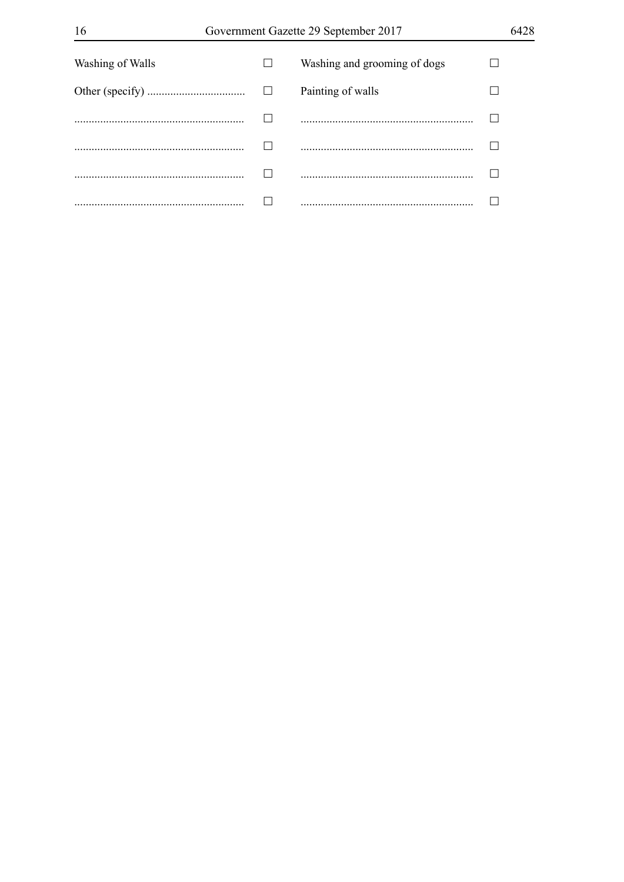| Washing of Walls |        | Washing and grooming of dogs |  |
|------------------|--------|------------------------------|--|
|                  | $\Box$ | Painting of walls            |  |
|                  |        |                              |  |
|                  |        |                              |  |
|                  |        |                              |  |
|                  |        |                              |  |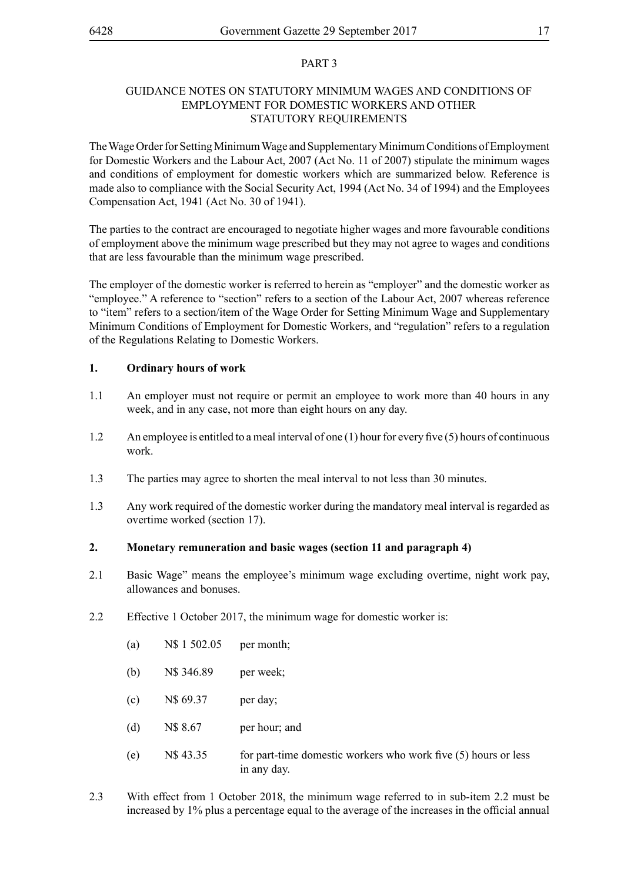#### PART 3

#### GUIDANCE NOTES ON STATUTORY MINIMUM WAGES AND CONDITIONS OF EMPLOYMENT FOR DOMESTIC WORKERS AND OTHER STATUTORY REQUIREMENTS

The Wage Order for Setting Minimum Wage and Supplementary Minimum Conditions of Employment for Domestic Workers and the Labour Act, 2007 (Act No. 11 of 2007) stipulate the minimum wages and conditions of employment for domestic workers which are summarized below. Reference is made also to compliance with the Social Security Act, 1994 (Act No. 34 of 1994) and the Employees Compensation Act, 1941 (Act No. 30 of 1941).

The parties to the contract are encouraged to negotiate higher wages and more favourable conditions of employment above the minimum wage prescribed but they may not agree to wages and conditions that are less favourable than the minimum wage prescribed.

The employer of the domestic worker is referred to herein as "employer" and the domestic worker as "employee." A reference to "section" refers to a section of the Labour Act, 2007 whereas reference to "item" refers to a section/item of the Wage Order for Setting Minimum Wage and Supplementary Minimum Conditions of Employment for Domestic Workers, and "regulation" refers to a regulation of the Regulations Relating to Domestic Workers.

#### **1. Ordinary hours of work**

- 1.1 An employer must not require or permit an employee to work more than 40 hours in any week, and in any case, not more than eight hours on any day.
- 1.2 An employee is entitled to a meal interval of one (1) hour for every five (5) hours of continuous work.
- 1.3 The parties may agree to shorten the meal interval to not less than 30 minutes.
- 1.3 Any work required of the domestic worker during the mandatory meal interval is regarded as overtime worked (section 17).

# **2. Monetary remuneration and basic wages (section 11 and paragraph 4)**

- 2.1 Basic Wage" means the employee's minimum wage excluding overtime, night work pay, allowances and bonuses.
- 2.2 Effective 1 October 2017, the minimum wage for domestic worker is:
	- (a) N\$ 1 502.05 per month;
	- (b) N\$ 346.89 per week;
	- (c)  $N\$  69.37 per day;
	- (d)  $N$ 8.67$  per hour; and
	- (e)  $\mathbb{N} \$$  43.35 for part-time domestic workers who work five (5) hours or less in any day.
- 2.3 With effect from 1 October 2018, the minimum wage referred to in sub-item 2.2 must be increased by 1% plus a percentage equal to the average of the increases in the official annual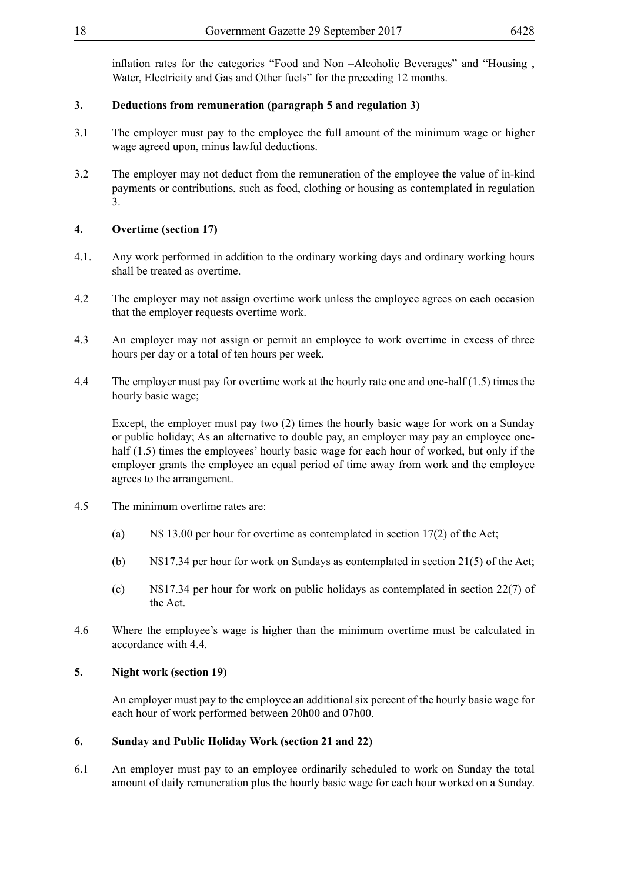inflation rates for the categories "Food and Non –Alcoholic Beverages" and "Housing , Water, Electricity and Gas and Other fuels" for the preceding 12 months.

#### **3. Deductions from remuneration (paragraph 5 and regulation 3)**

- 3.1 The employer must pay to the employee the full amount of the minimum wage or higher wage agreed upon, minus lawful deductions.
- 3.2 The employer may not deduct from the remuneration of the employee the value of in-kind payments or contributions, such as food, clothing or housing as contemplated in regulation 3.

#### **4. Overtime (section 17)**

- 4.1. Any work performed in addition to the ordinary working days and ordinary working hours shall be treated as overtime.
- 4.2 The employer may not assign overtime work unless the employee agrees on each occasion that the employer requests overtime work.
- 4.3 An employer may not assign or permit an employee to work overtime in excess of three hours per day or a total of ten hours per week.
- 4.4 The employer must pay for overtime work at the hourly rate one and one-half (1.5) times the hourly basic wage;

Except, the employer must pay two (2) times the hourly basic wage for work on a Sunday or public holiday; As an alternative to double pay, an employer may pay an employee onehalf (1.5) times the employees' hourly basic wage for each hour of worked, but only if the employer grants the employee an equal period of time away from work and the employee agrees to the arrangement.

- 4.5 The minimum overtime rates are:
	- (a) N\$ 13.00 per hour for overtime as contemplated in section 17(2) of the Act;
	- (b) N\$17.34 per hour for work on Sundays as contemplated in section 21(5) of the Act;
	- (c) N\$17.34 per hour for work on public holidays as contemplated in section 22(7) of the Act.
- 4.6 Where the employee's wage is higher than the minimum overtime must be calculated in accordance with 4.4.

#### **5. Night work (section 19)**

An employer must pay to the employee an additional six percent of the hourly basic wage for each hour of work performed between 20h00 and 07h00.

#### **6. Sunday and Public Holiday Work (section 21 and 22)**

6.1 An employer must pay to an employee ordinarily scheduled to work on Sunday the total amount of daily remuneration plus the hourly basic wage for each hour worked on a Sunday.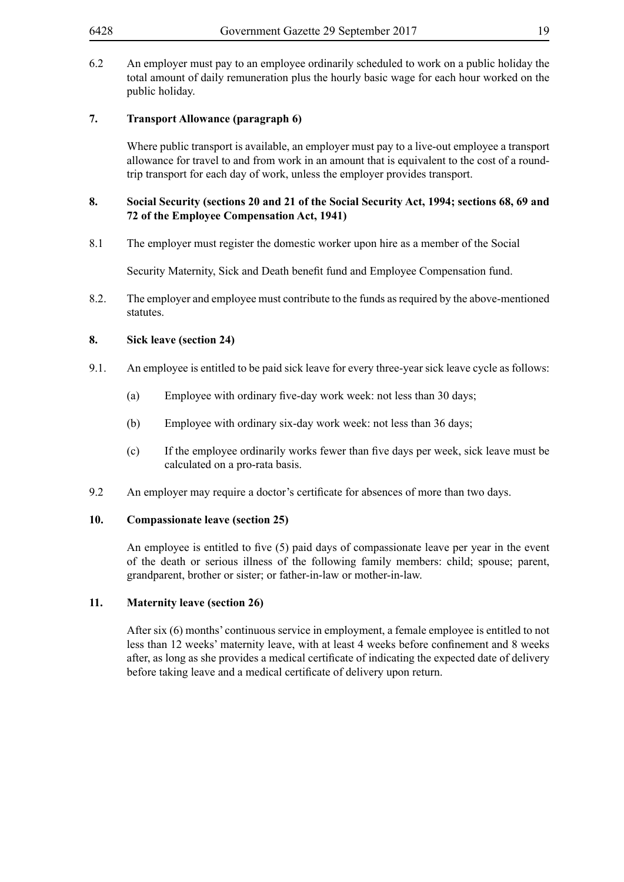6.2 An employer must pay to an employee ordinarily scheduled to work on a public holiday the total amount of daily remuneration plus the hourly basic wage for each hour worked on the public holiday.

#### **7. Transport Allowance (paragraph 6)**

Where public transport is available, an employer must pay to a live-out employee a transport allowance for travel to and from work in an amount that is equivalent to the cost of a roundtrip transport for each day of work, unless the employer provides transport.

#### **8. Social Security (sections 20 and 21 of the Social Security Act, 1994; sections 68, 69 and 72 of the Employee Compensation Act, 1941)**

8.1 The employer must register the domestic worker upon hire as a member of the Social

Security Maternity, Sick and Death benefit fund and Employee Compensation fund.

8.2. The employer and employee must contribute to the funds as required by the above-mentioned statutes.

#### **8. Sick leave (section 24)**

- 9.1. An employee is entitled to be paid sick leave for every three-year sick leave cycle as follows:
	- (a) Employee with ordinary five-day work week: not less than 30 days;
	- (b) Employee with ordinary six-day work week: not less than 36 days;
	- (c) If the employee ordinarily works fewer than five days per week, sick leave must be calculated on a pro-rata basis.
- 9.2 An employer may require a doctor's certificate for absences of more than two days.

#### **10. Compassionate leave (section 25)**

An employee is entitled to five (5) paid days of compassionate leave per year in the event of the death or serious illness of the following family members: child; spouse; parent, grandparent, brother or sister; or father-in-law or mother-in-law.

#### **11. Maternity leave (section 26)**

After six (6) months' continuous service in employment, a female employee is entitled to not less than 12 weeks' maternity leave, with at least 4 weeks before confinement and 8 weeks after, as long as she provides a medical certificate of indicating the expected date of delivery before taking leave and a medical certificate of delivery upon return.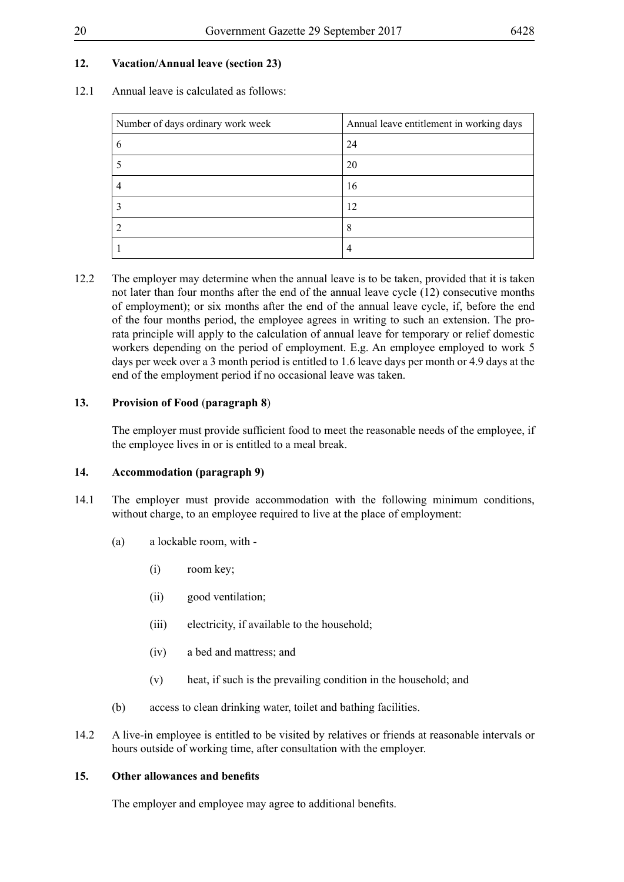# **12. Vacation/Annual leave (section 23)**

12.1 Annual leave is calculated as follows:

| Number of days ordinary work week | Annual leave entitlement in working days |
|-----------------------------------|------------------------------------------|
| 6                                 | 24                                       |
|                                   | 20                                       |
|                                   | 16                                       |
|                                   | 12                                       |
|                                   | 8                                        |
|                                   | 4                                        |

12.2 The employer may determine when the annual leave is to be taken, provided that it is taken not later than four months after the end of the annual leave cycle (12) consecutive months of employment); or six months after the end of the annual leave cycle, if, before the end of the four months period, the employee agrees in writing to such an extension. The prorata principle will apply to the calculation of annual leave for temporary or relief domestic workers depending on the period of employment. E.g. An employee employed to work 5 days per week over a 3 month period is entitled to 1.6 leave days per month or 4.9 days at the end of the employment period if no occasional leave was taken.

#### **13. Provision of Food** (**paragraph 8**)

The employer must provide sufficient food to meet the reasonable needs of the employee, if the employee lives in or is entitled to a meal break.

#### **14. Accommodation (paragraph 9)**

- 14.1 The employer must provide accommodation with the following minimum conditions, without charge, to an employee required to live at the place of employment:
	- (a) a lockable room, with
		- (i) room key;
		- (ii) good ventilation;
		- (iii) electricity, if available to the household;
		- (iv) a bed and mattress; and
		- (v) heat, if such is the prevailing condition in the household; and
	- (b) access to clean drinking water, toilet and bathing facilities.
- 14.2 A live-in employee is entitled to be visited by relatives or friends at reasonable intervals or hours outside of working time, after consultation with the employer.

# **15. Other allowances and benefits**

The employer and employee may agree to additional benefits.